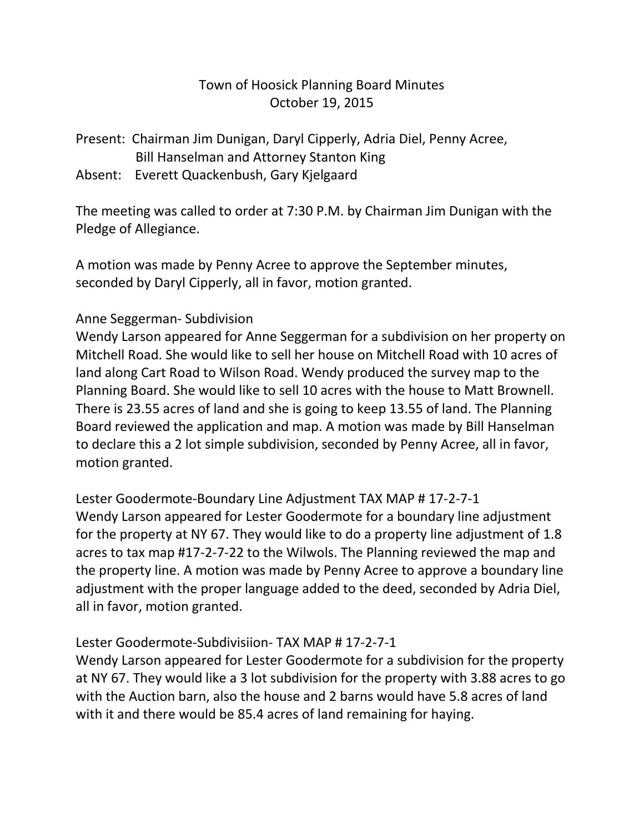# Town of Hoosick Planning Board Minutes October 19, 2015

Present: Chairman Jim Dunigan, Daryl Cipperly, Adria Diel, Penny Acree, Bill Hanselman and Attorney Stanton King

Absent: Everett Quackenbush, Gary Kjelgaard

The meeting was called to order at 7:30 P.M. by Chairman Jim Dunigan with the Pledge of Allegiance.

A motion was made by Penny Acree to approve the September minutes, seconded by Daryl Cipperly, all in favor, motion granted.

### Anne Seggerman- Subdivision

Wendy Larson appeared for Anne Seggerman for a subdivision on her property on Mitchell Road. She would like to sell her house on Mitchell Road with 10 acres of land along Cart Road to Wilson Road. Wendy produced the survey map to the Planning Board. She would like to sell 10 acres with the house to Matt Brownell. There is 23.55 acres of land and she is going to keep 13.55 of land. The Planning Board reviewed the application and map. A motion was made by Bill Hanselman to declare this a 2 lot simple subdivision, seconded by Penny Acree, all in favor, motion granted.

Lester Goodermote-Boundary Line Adjustment TAX MAP # 17-2-7-1 Wendy Larson appeared for Lester Goodermote for a boundary line adjustment for the property at NY 67. They would like to do a property line adjustment of 1.8 acres to tax map #17-2-7-22 to the Wilwols. The Planning reviewed the map and the property line. A motion was made by Penny Acree to approve a boundary line adjustment with the proper language added to the deed, seconded by Adria Diel, all in favor, motion granted.

### Lester Goodermote-Subdivisiion- TAX MAP # 17-2-7-1

Wendy Larson appeared for Lester Goodermote for a subdivision for the property at NY 67. They would like a 3 lot subdivision for the property with 3.88 acres to go with the Auction barn, also the house and 2 barns would have 5.8 acres of land with it and there would be 85.4 acres of land remaining for haying.